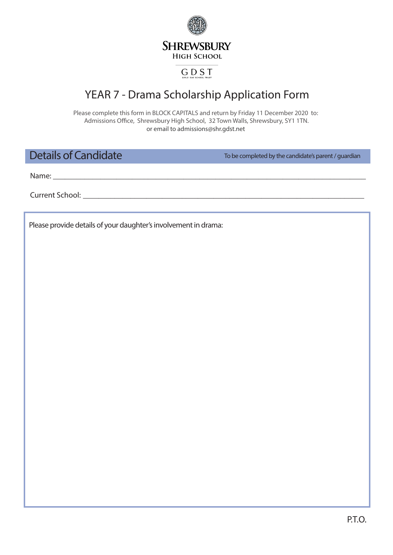**SHREWSBURY HIGH SCHOOL** 

## **GDST**

## YEAR 7 - Drama Scholarship Application Form

Please complete this form in BLOCK CAPITALS and return by Friday 11 December 2020 to: Admissions Office, Shrewsbury High School, 32 Town Walls, Shrewsbury, SY1 1TN. or email to admissions@shr.gdst.net

Details of Candidate

To be completed by the candidate's parent / guardian

Name: **\_\_\_\_\_\_\_\_\_\_\_\_\_\_\_\_\_\_\_\_\_\_\_\_\_\_\_\_\_\_\_\_\_\_\_\_\_\_\_\_\_\_\_\_\_\_\_\_\_\_\_\_\_\_\_\_\_\_\_\_\_\_\_\_\_\_\_\_\_\_\_\_\_\_\_\_\_\_\_**

Current School: **with a set of the set of the set of the set of the set of the set of the set of the set of the set of the set of the set of the set of the set of the set of the set of the set of the set of the set of the** 

Please provide details of your daughter's involvement in drama: